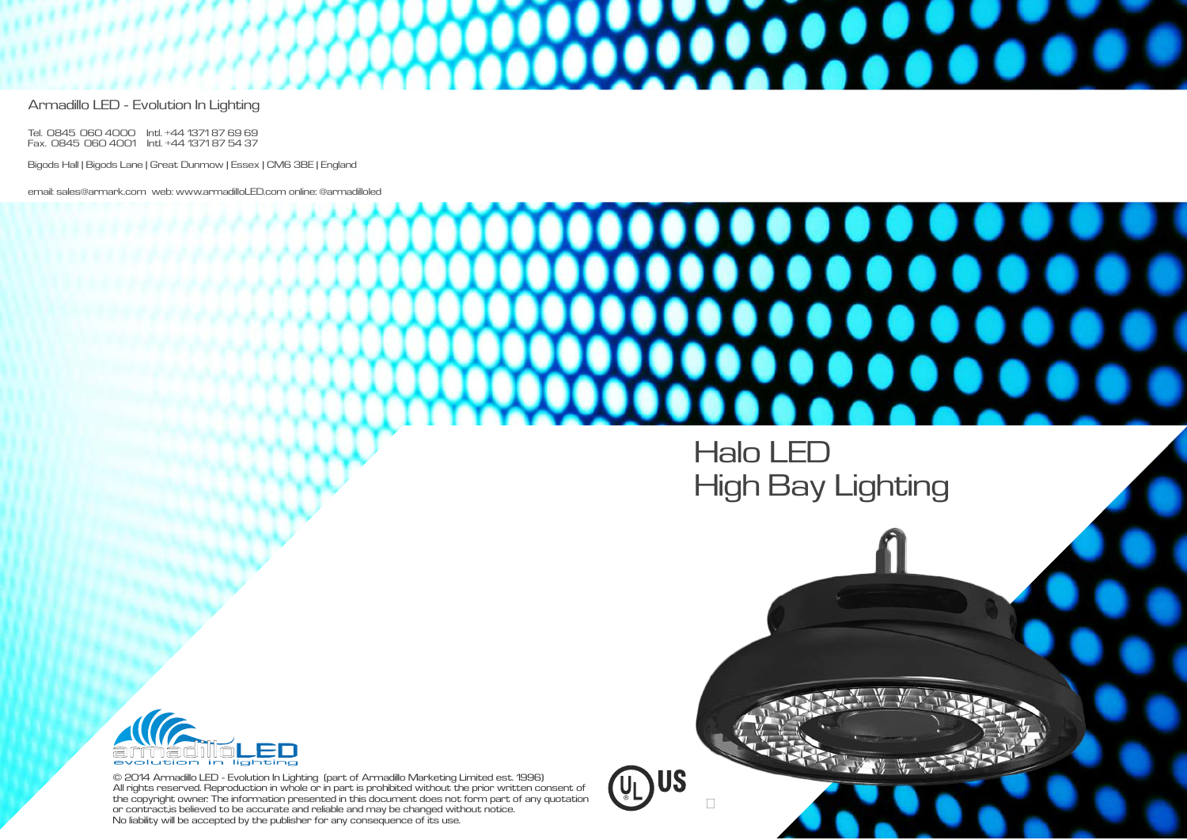© 2014 Armadillo LED - Evolution In Lighting (part of Armadillo Marketing Limited est. 1996) All rights reserved. Reproduction in whole or in part is prohibited without the prior written consent of the copyright owner. The information presented in this document does not form part of any quotation or contract, is believed to be accurate and reliable and may be changed without notice. No liability will be accepted by the publisher for any consequence of its use.

**US** 









Armadillo LED - Evolution In Lighting

Tel. 0845 060 4000 Intl. +44 1371 87 69 69 Fax. 0845 060 4001 Intl. +44 1371 87 54 37

Bigods Hall | Bigods Lane | Great Dunmow | Essex | CM6 3BE | England

email: sales@armark.com web: www.armadilloLED.com online: @armadilloled

## Halo LED High Bay Lighting

moo